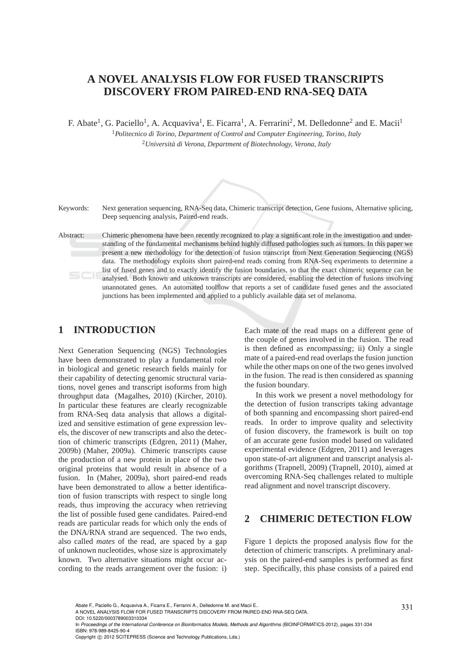## **A NOVEL ANALYSIS FLOW FOR FUSED TRANSCRIPTS DISCOVERY FROM PAIRED-END RNA-SEQ DATA**

F. Abate<sup>1</sup>, G. Paciello<sup>1</sup>, A. Acquaviva<sup>1</sup>, E. Ficarra<sup>1</sup>, A. Ferrarini<sup>2</sup>, M. Delledonne<sup>2</sup> and E. Macii<sup>1</sup>

<sup>1</sup>*Politecnico di Torino, Department of Control and Computer Engineering, Torino, Italy* <sup>2</sup>*Universit`a di Verona, Department of Biotechnology, Verona, Italy*



Keywords: Next generation sequencing, RNA-Seq data, Chimeric transcript detection, Gene fusions, Alternative splicing, Deep sequencing analysis, Paired-end reads.

Abstract: Chimeric phenomena have been recently recognized to play a significant role in the investigation and understanding of the fundamental mechanisms behind highly diffused pathologies such as tumors. In this paper we present a new methodology for the detection of fusion transcript from Next Generation Sequencing (NGS) data. The methodology exploits short paired-end reads coming from RNA-Seq experiments to determine a list of fused genes and to exactly identify the fusion boundaries, so that the exact chimeric sequence can be analysed. Both known and unknown transcripts are considered, enabling the detection of fusions involving unannotated genes. An automated toolflow that reports a set of candidate fused genes and the associated junctions has been implemented and applied to a publicly available data set of melanoma.

## **1 INTRODUCTION**

Next Generation Sequencing (NGS) Technologies have been demonstrated to play a fundamental role in biological and genetic research fields mainly for their capability of detecting genomic structural variations, novel genes and transcript isoforms from high throughput data (Magalhes, 2010) (Kircher, 2010). In particular these features are clearly recognizable from RNA-Seq data analysis that allows a digitalized and sensitive estimation of gene expression levels, the discover of new transcripts and also the detection of chimeric transcripts (Edgren, 2011) (Maher, 2009b) (Maher, 2009a). Chimeric transcripts cause the production of a new protein in place of the two original proteins that would result in absence of a fusion. In (Maher, 2009a), short paired-end reads have been demonstrated to allow a better identification of fusion transcripts with respect to single long reads, thus improving the accuracy when retrieving the list of possible fused gene candidates. Paired-end reads are particular reads for which only the ends of the DNA/RNA strand are sequenced. The two ends, also called *mates* of the read, are spaced by a gap of unknown nucleotides, whose size is approximately known. Two alternative situations might occur according to the reads arrangement over the fusion: i) Each mate of the read maps on a different gene of the couple of genes involved in the fusion. The read is then defined as encompassing; ii) Only a single mate of a paired-end read overlaps the fusion junction while the other maps on one of the two genes involved in the fusion. The read is then considered as spanning the fusion boundary.

In this work we present a novel methodology for the detection of fusion transcripts taking advantage of both spanning and encompassing short paired-end reads. In order to improve quality and selectivity of fusion discovery, the framework is built on top of an accurate gene fusion model based on validated experimental evidence (Edgren, 2011) and leverages upon state-of-art alignment and transcript analysis algorithms (Trapnell, 2009) (Trapnell, 2010), aimed at overcoming RNA-Seq challenges related to multiple read alignment and novel transcript discovery.

#### **2 CHIMERIC DETECTION FLOW**

Figure 1 depicts the proposed analysis flow for the detection of chimeric transcripts. A preliminary analysis on the paired-end samples is performed as first step. Specifically, this phase consists of a paired end

In Proceedings of the International Conference on Bioinformatics Models, Methods and Algorithms (BIOINFORMATICS-2012), pages 331-334 ISBN: 978-989-8425-90-4

Abate F., Paciello G., Acquaviva A., Ficarra E., Ferrarini A., Delledonne M. and Macii E..<br>A NOVEL ANALYSIS FLOW FOR FUSED TRANSCRIPTS DISCOVERY FROM PAIRED-END RNA-SEQ DATA. DOI: 10.5220/0003789003310334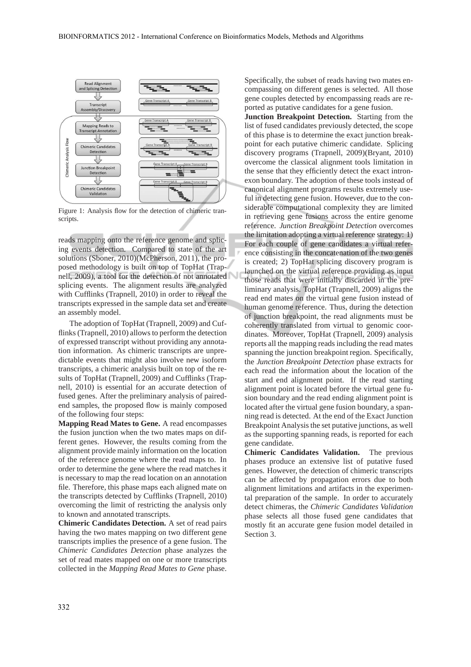

Figure 1: Analysis flow for the detection of chimeric transcripts.

reads mapping onto the reference genome and splicing events detection. Compared to state of the art solutions (Sboner, 2010)(McPherson, 2011), the proposed methodology is built on top of TopHat (Trapnell, 2009), a tool for the detection of not annotated splicing events. The alignment results are analyzed with Cufflinks (Trapnell, 2010) in order to reveal the transcripts expressed in the sample data set and create an assembly model.

The adoption of TopHat (Trapnell, 2009) and Cufflinks (Trapnell, 2010) allows to perform the detection of expressed transcript without providing any annotation information. As chimeric transcripts are unpredictable events that might also involve new isoform transcripts, a chimeric analysis built on top of the results of TopHat (Trapnell, 2009) and Cufflinks (Trapnell, 2010) is essential for an accurate detection of fused genes. After the preliminary analysis of pairedend samples, the proposed flow is mainly composed of the following four steps:

**Mapping Read Mates to Gene.** A read encompasses the fusion junction when the two mates maps on different genes. However, the results coming from the alignment provide mainly information on the location of the reference genome where the read maps to. In order to determine the gene where the read matches it is necessary to map the read location on an annotation file. Therefore, this phase maps each aligned mate on the transcripts detected by Cufflinks (Trapnell, 2010) overcoming the limit of restricting the analysis only to known and annotated transcripts.

**Chimeric Candidates Detection.** A set of read pairs having the two mates mapping on two different gene transcripts implies the presence of a gene fusion. The *Chimeric Candidates Detection* phase analyzes the set of read mates mapped on one or more transcripts collected in the *Mapping Read Mates to Gene* phase. Specifically, the subset of reads having two mates encompassing on different genes is selected. All those gene couples detected by encompassing reads are reported as putative candidates for a gene fusion.

**Junction Breakpoint Detection.** Starting from the list of fused candidates previously detected, the scope of this phase is to determine the exact junction breakpoint for each putative chimeric candidate. Splicing discovery programs (Trapnell, 2009)(Bryant, 2010) overcome the classical alignment tools limitation in the sense that they efficiently detect the exact intronexon boundary. The adoption of these tools instead of canonical alignment programs results extremely useful in detecting gene fusion. However, due to the considerable computational complexity they are limited in retrieving gene fusions across the entire genome reference. *Junction Breakpoint Detection* overcomes the limitation adopting a virtual reference strategy: 1) For each couple of gene candidates a virtual reference consisting in the concatenation of the two genes is created; 2) TopHat splicing discovery program is launched on the virtual reference providing as input those reads that were initially discarded in the preliminary analysis. TopHat (Trapnell, 2009) aligns the read end mates on the virtual gene fusion instead of human genome reference. Thus, during the detection of junction breakpoint, the read alignments must be coherently translated from virtual to genomic coordinates. Moreover, TopHat (Trapnell, 2009) analysis reports all the mapping reads including the read mates spanning the junction breakpoint region. Specifically, the *Junction Breakpoint Detection* phase extracts for each read the information about the location of the start and end alignment point. If the read starting alignment point is located before the virtual gene fusion boundary and the read ending alignment point is located after the virtual gene fusion boundary, a spanning read is detected. At the end of the Exact Junction Breakpoint Analysis the set putative junctions, as well as the supporting spanning reads, is reported for each gene candidate.

**Chimeric Candidates Validation.** The previous phases produce an extensive list of putative fused genes. However, the detection of chimeric transcripts can be affected by propagation errors due to both alignment limitations and artifacts in the experimental preparation of the sample. In order to accurately detect chimeras, the *Chimeric Candidates Validation* phase selects all those fused gene candidates that mostly fit an accurate gene fusion model detailed in Section 3.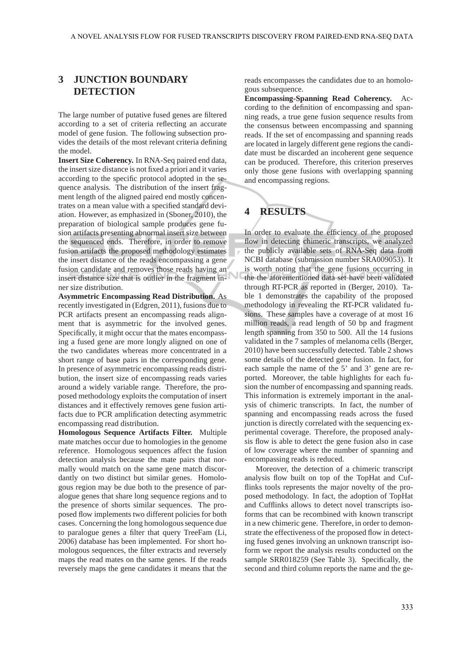## **3 JUNCTION BOUNDARY DETECTION**

The large number of putative fused genes are filtered according to a set of criteria reflecting an accurate model of gene fusion. The following subsection provides the details of the most relevant criteria defining the model.

**Insert Size Coherency.** In RNA-Seq paired end data, the insert size distance is not fixed a priori and it varies according to the specific protocol adopted in the sequence analysis. The distribution of the insert fragment length of the aligned paired end mostly concentrates on a mean value with a specified standard deviation. However, as emphasized in (Sboner, 2010), the preparation of biological sample produces gene fusion artifacts presenting abnormal insert size between the sequenced ends. Therefore, in order to remove fusion artifacts the proposed methodology estimates the insert distance of the reads encompassing a gene fusion candidate and removes those reads having an insert distance size that is outlier in the fragment inner size distribution.

**Asymmetric Encompassing Read Distribution.** As recently investigated in (Edgren, 2011), fusions due to PCR artifacts present an encompassing reads alignment that is asymmetric for the involved genes. Specifically, it might occur that the mates encompassing a fused gene are more longly aligned on one of the two candidates whereas more concentrated in a short range of base pairs in the corresponding gene. In presence of asymmetric encompassing reads distribution, the insert size of encompassing reads varies around a widely variable range. Therefore, the proposed methodology exploits the computation of insert distances and it effectively removes gene fusion artifacts due to PCR amplification detecting asymmetric encompassing read distribution.

**Homologous Sequence Artifacts Filter.** Multiple mate matches occur due to homologies in the genome reference. Homologous sequences affect the fusion detection analysis because the mate pairs that normally would match on the same gene match discordantly on two distinct but similar genes. Homologous region may be due both to the presence of paralogue genes that share long sequence regions and to the presence of shorts similar sequences. The proposed flow implements two different policies for both cases. Concerning the long homologous sequence due to paralogue genes a filter that query TreeFam (Li, 2006) database has been implemented. For short homologous sequences, the filter extracts and reversely maps the read mates on the same genes. If the reads reversely maps the gene candidates it means that the reads encompasses the candidates due to an homologous subsequence.

**Encompassing-Spanning Read Coherency.** According to the definition of encompassing and spanning reads, a true gene fusion sequence results from the consensus between encompassing and spanning reads. If the set of encompassing and spanning reads are located in largely different gene regions the candidate must be discarded an incoherent gene sequence can be produced. Therefore, this criterion preserves only those gene fusions with overlapping spanning and encompassing regions.

# **4 RESULTS**

In order to evaluate the efficiency of the proposed flow in detecting chimeric transcripts, we analyzed the publicly available sets of RNA-Seq data from NCBI database (submission number SRA009053). It is worth noting that the gene fusions occurring in the the aforementioned data set have been validated through RT-PCR as reported in (Berger, 2010). Table 1 demonstrates the capability of the proposed methodology in revealing the RT-PCR validated fusions. These samples have a coverage of at most 16 million reads, a read length of 50 bp and fragment length spanning from 350 to 500. All the 14 fusions validated in the 7 samples of melanoma cells (Berger, 2010) have been successfully detected. Table 2 shows some details of the detected gene fusion. In fact, for each sample the name of the 5' and 3' gene are reported. Moreover, the table highlights for each fusion the number of encompassing and spanning reads. This information is extremely important in the analysis of chimeric transcripts. In fact, the number of spanning and encompassing reads across the fused junction is directly correlated with the sequencing experimental coverage. Therefore, the proposed analysis flow is able to detect the gene fusion also in case of low coverage where the number of spanning and encompassing reads is reduced.

Moreover, the detection of a chimeric transcript analysis flow built on top of the TopHat and Cufflinks tools represents the major novelty of the proposed methodology. In fact, the adoption of TopHat and Cufflinks allows to detect novel transcripts isoforms that can be recombined with known transcript in a new chimeric gene. Therefore, in order to demonstrate the effectiveness of the proposed flow in detecting fused genes involving an unknown transcript isoform we report the analysis results conducted on the sample SRR018259 (See Table 3). Specifically, the second and third column reports the name and the ge-